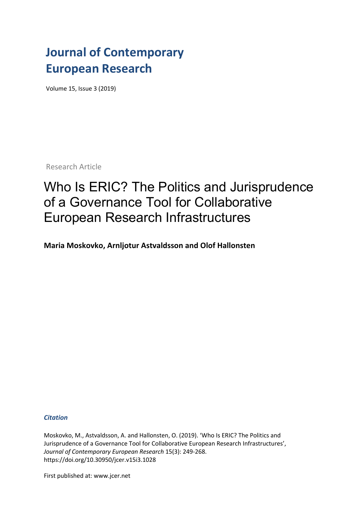## **Journal of Contemporary European Research**

Volume 15, Issue 3 (2019)

Research Article

# Who Is ERIC? The Politics and Jurisprudence of a Governance Tool for Collaborative European Research Infrastructures

**Maria Moskovko, Arnljotur Astvaldsson and Olof Hallonsten**

*Citation*

Moskovko, M., Astvaldsson, A. and Hallonsten, O. (2019). 'Who Is ERIC? The Politics and Jurisprudence of a Governance Tool for Collaborative European Research Infrastructures', *Journal of Contemporary European Research* 15(3): 249-268. https://doi.org/10.30950/jcer.v15i3.1028

First published at: www.jcer.net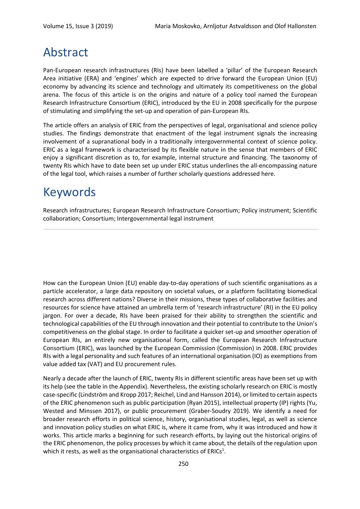### Abstract

Pan-European research infrastructures (RIs) have been labelled a 'pillar' of the European Research Area initiative (ERA) and 'engines' which are expected to drive forward the European Union (EU) economy by advancing its science and technology and ultimately its competitiveness on the global arena. The focus of this article is on the origins and nature of a policy tool named the European Research Infrastructure Consortium (ERIC), introduced by the EU in 2008 specifically for the purpose of stimulating and simplifying the set-up and operation of pan-European RIs.

The article offers an analysis of ERIC from the perspectives of legal, organisational and science policy studies. The findings demonstrate that enactment of the legal instrument signals the increasing involvement of a supranational body in a traditionally intergovernmental context of science policy. ERIC as a legal framework is characterised by its flexible nature in the sense that members of ERIC enjoy a significant discretion as to, for example, internal structure and financing. The taxonomy of twenty RIs which have to date been set up under ERIC status underlines the all-encompassing nature of the legal tool, which raises a number of further scholarly questions addressed here.

### Keywords

Research infrastructures; European Research Infrastructure Consortium; Policy instrument; Scientific collaboration; Consortium; Intergovernmental legal instrument

How can the European Union (EU) enable day-to-day operations of such scientific organisations as a particle accelerator, a large data repository on societal values, or a platform facilitating biomedical research across different nations? Diverse in their missions, these types of collaborative facilities and resources for science have attained an umbrella term of 'research infrastructure' (RI) in the EU policy jargon. For over a decade, RIs have been praised for their ability to strengthen the scientific and technological capabilities of the EU through innovation and their potential to contribute to the Union's competitiveness on the global stage. In order to facilitate a quicker set-up and smoother operation of European RIs, an entirely new organisational form, called the European Research Infrastructure Consortium (ERIC), was launched by the European Commission (Commission) in 2008. ERIC provides RIs with a legal personality and such features of an international organisation (IO) as exemptions from value added tax (VAT) and EU procurement rules.

Nearly a decade after the launch of ERIC, twenty RIs in different scientific areas have been set up with its help (see the table in the Appendix). Nevertheless, the existing scholarly research on ERIC is mostly case-specific (Lindström and Kropp 2017; Reichel, Lind and Hansson 2014), or limited to certain aspects of the ERIC phenomenon such as public participation (Ryan 2015), intellectual property (IP) rights (Yu, Wested and Minssen 2017), or public procurement (Graber-Soudry 2019). We identify a need for broader research efforts in political science, history, organisational studies, legal, as well as science and innovation policy studies on what ERIC is, where it came from, why it was introduced and how it works. This article marks a beginning for such research efforts, by laying out the historical origins of the ERIC phenomenon, the policy processes by which it came about, the details of the regulation upon which it rests, as well as the organisational characteristics of ERICs<sup>1</sup>.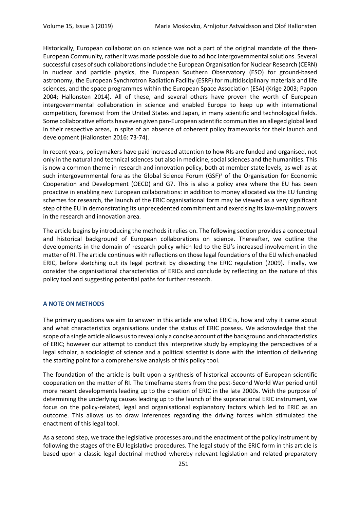Historically, European collaboration on science was not a part of the original mandate of the then-European Community, rather it was made possible due to ad hoc intergovernmental solutions. Several successful cases of such collaborations include the European Organisation for Nuclear Research (CERN) in nuclear and particle physics, the European Southern Observatory (ESO) for ground-based astronomy, the European Synchrotron Radiation Facility (ESRF) for multidisciplinary materials and life sciences, and the space programmes within the European Space Association (ESA) (Krige 2003; Papon 2004; Hallonsten 2014). All of these, and several others have proven the worth of European intergovernmental collaboration in science and enabled Europe to keep up with international competition, foremost from the United States and Japan, in many scientific and technological fields. Some collaborative efforts have even given pan-European scientific communities an alleged global lead in their respective areas, in spite of an absence of coherent policy frameworks for their launch and development (Hallonsten 2016: 73-74).

In recent years, policymakers have paid increased attention to how RIs are funded and organised, not only in the natural and technical sciences but also in medicine, social sciences and the humanities. This is now a common theme in research and innovation policy, both at member state levels, as well as at such intergovernmental fora as the Global Science Forum (GSF)<sup>2</sup> of the Organisation for Economic Cooperation and Development (OECD) and G7. This is also a policy area where the EU has been proactive in enabling new European collaborations: in addition to money allocated via the EU funding schemes for research, the launch of the ERIC organisational form may be viewed as a very significant step of the EU in demonstrating its unprecedented commitment and exercising its law-making powers in the research and innovation area.

The article begins by introducing the methods it relies on. The following section provides a conceptual and historical background of European collaborations on science. Thereafter, we outline the developments in the domain of research policy which led to the EU's increased involvement in the matter of RI. The article continues with reflections on those legal foundations of the EU which enabled ERIC, before sketching out its legal portrait by dissecting the ERIC regulation (2009). Finally, we consider the organisational characteristics of ERICs and conclude by reflecting on the nature of this policy tool and suggesting potential paths for further research.

#### **A NOTE ON METHODS**

The primary questions we aim to answer in this article are what ERIC is, how and why it came about and what characteristics organisations under the status of ERIC possess. We acknowledge that the scope of a single article allows us to reveal only a concise account of the background and characteristics of ERIC; however our attempt to conduct this interpretive study by employing the perspectives of a legal scholar, a sociologist of science and a political scientist is done with the intention of delivering the starting point for a comprehensive analysis of this policy tool.

The foundation of the article is built upon a synthesis of historical accounts of European scientific cooperation on the matter of RI. The timeframe stems from the post-Second World War period until more recent developments leading up to the creation of ERIC in the late 2000s. With the purpose of determining the underlying causes leading up to the launch of the supranational ERIC instrument, we focus on the policy-related, legal and organisational explanatory factors which led to ERIC as an outcome. This allows us to draw inferences regarding the driving forces which stimulated the enactment of this legal tool.

As a second step, we trace the legislative processes around the enactment of the policy instrument by following the stages of the EU legislative procedures. The legal study of the ERIC form in this article is based upon a classic legal doctrinal method whereby relevant legislation and related preparatory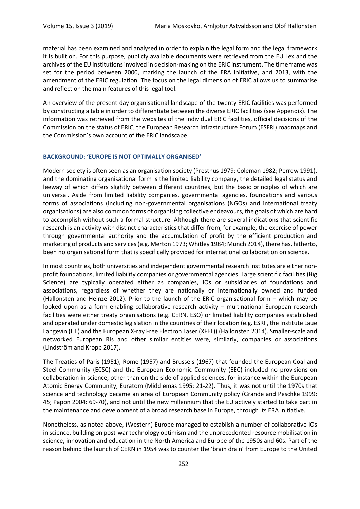material has been examined and analysed in order to explain the legal form and the legal framework it is built on. For this purpose, publicly available documents were retrieved from the EU Lex and the archives of the EU institutions involved in decision-making on the ERIC instrument. The time frame was set for the period between 2000, marking the launch of the ERA initiative, and 2013, with the amendment of the ERIC regulation. The focus on the legal dimension of ERIC allows us to summarise and reflect on the main features of this legal tool.

An overview of the present-day organisational landscape of the twenty ERIC facilities was performed by constructing a table in order to differentiate between the diverse ERIC facilities (see Appendix). The information was retrieved from the websites of the individual ERIC facilities, official decisions of the Commission on the status of ERIC, the European Research Infrastructure Forum (ESFRI) roadmaps and the Commission's own account of the ERIC landscape.

#### **BACKGROUND: 'EUROPE IS NOT OPTIMALLY ORGANISED'**

Modern society is often seen as an organisation society (Presthus 1979; Coleman 1982; Perrow 1991), and the dominating organisational form is the limited liability company, the detailed legal status and leeway of which differs slightly between different countries, but the basic principles of which are universal. Aside from limited liability companies, governmental agencies, foundations and various forms of associations (including non-governmental organisations (NGOs) and international treaty organisations) are also common forms of organising collective endeavours, the goals of which are hard to accomplish without such a formal structure. Although there are several indications that scientific research is an activity with distinct characteristics that differ from, for example, the exercise of power through governmental authority and the accumulation of profit by the efficient production and marketing of products and services (e.g. Merton 1973; Whitley 1984; Münch 2014), there has, hitherto, been no organisational form that is specifically provided for international collaboration on science.

In most countries, both universities and independent governmental research institutes are either nonprofit foundations, limited liability companies or governmental agencies. Large scientific facilities (Big Science) are typically operated either as companies, IOs or subsidiaries of foundations and associations, regardless of whether they are nationally or internationally owned and funded (Hallonsten and Heinze 2012). Prior to the launch of the ERIC organisational form – which may be looked upon as a form enabling collaborative research activity – multinational European research facilities were either treaty organisations (e.g. CERN, ESO) or limited liability companies established and operated under domestic legislation in the countries of their location (e.g. ESRF, the Institute Laue Langevin (ILL) and the European X-ray Free Electron Laser (XFEL)) (Hallonsten 2014). Smaller-scale and networked European RIs and other similar entities were, similarly, companies or associations (Lindström and Kropp 2017).

The Treaties of Paris (1951), Rome (1957) and Brussels (1967) that founded the European Coal and Steel Community (ECSC) and the European Economic Community (EEC) included no provisions on collaboration in science, other than on the side of applied sciences, for instance within the European Atomic Energy Community, Euratom (Middlemas 1995: 21-22). Thus, it was not until the 1970s that science and technology became an area of European Community policy (Grande and Peschke 1999: 45; Papon 2004: 69-70), and not until the new millennium that the EU actively started to take part in the maintenance and development of a broad research base in Europe, through its ERA initiative.

Nonetheless, as noted above, (Western) Europe managed to establish a number of collaborative IOs in science, building on post-war technology optimism and the unprecedented resource mobilisation in science, innovation and education in the North America and Europe of the 1950s and 60s. Part of the reason behind the launch of CERN in 1954 was to counter the 'brain drain' from Europe to the United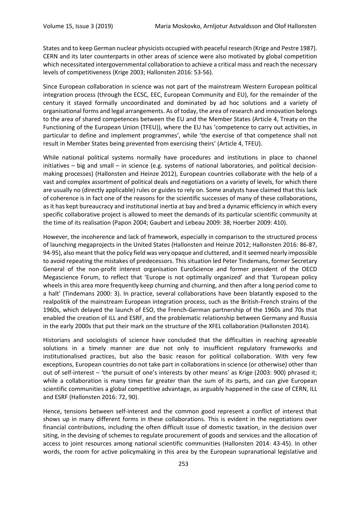States and to keep German nuclear physicists occupied with peaceful research (Krige and Pestre 1987). CERN and its later counterparts in other areas of science were also motivated by global competition which necessitated intergovernmental collaboration to achieve a critical mass and reach the necessary levels of competitiveness (Krige 2003; Hallonsten 2016: 53-56).

Since European collaboration in science was not part of the mainstream Western European political integration process (through the ECSC, EEC, European Community and EU), for the remainder of the century it stayed formally uncoordinated and dominated by ad hoc solutions and a variety of organisational forms and legal arrangements. As of today, the area of research and innovation belongs to the area of shared competences between the EU and the Member States (Article 4, Treaty on the Functioning of the European Union (TFEU)), where the EU has 'competence to carry out activities, in particular to define and implement programmes', while 'the exercise of that competence shall not result in Member States being prevented from exercising theirs' (Article 4, TFEU).

While national political systems normally have procedures and institutions in place to channel initiatives – big and small – in science (e.g. systems of national laboratories, and political decisionmaking processes) (Hallonsten and Heinze 2012), European countries collaborate with the help of a vast and complex assortment of political deals and negotiations on a variety of levels, for which there are usually no (directly applicable) rules or guides to rely on. Some analysts have claimed that this lack of coherence is in fact one of the reasons for the scientific successes of many of these collaborations, as it has kept bureaucracy and institutional inertia at bay and bred a dynamic efficiency in which every specific collaborative project is allowed to meet the demands of its particular scientific community at the time of its realisation (Papon 2004; Gaubert and Lebeau 2009: 38; Hoerber 2009: 410).

However, the incoherence and lack of framework, especially in comparison to the structured process of launching megaprojects in the United States (Hallonsten and Heinze 2012; Hallonsten 2016: 86-87, 94-95), also meant that the policy field was very opaque and cluttered, and it seemed nearly impossible to avoid repeating the mistakes of predecessors. This situation led Peter Tindemans, former Secretary General of the non-profit interest organisation EuroScience and former president of the OECD Megascience Forum, to reflect that 'Europe is not optimally organized' and that 'European policy wheels in this area more frequently keep churning and churning, and then after a long period come to a halt' (Tindemans 2000: 3). In practice, several collaborations have been blatantly exposed to the realpolitik of the mainstream European integration process, such as the British-French strains of the 1960s, which delayed the launch of ESO, the French-German partnership of the 1960s and 70s that enabled the creation of ILL and ESRF, and the problematic relationship between Germany and Russia in the early 2000s that put their mark on the structure of the XFEL collaboration (Hallonsten 2014).

Historians and sociologists of science have concluded that the difficulties in reaching agreeable solutions in a timely manner are due not only to insufficient regulatory frameworks and institutionalised practices, but also the basic reason for political collaboration. With very few exceptions, European countries do not take part in collaborations in science (or otherwise) other than out of self-interest – 'the pursuit of one's interests by other means' as Krige (2003: 900) phrased it; while a collaboration is many times far greater than the sum of its parts, and can give European scientific communities a global competitive advantage, as arguably happened in the case of CERN, ILL and ESRF (Hallonsten 2016: 72, 90).

Hence, tensions between self-interest and the common good represent a conflict of interest that shows up in many different forms in these collaborations. This is evident in the negotiations over financial contributions, including the often difficult issue of domestic taxation, in the decision over siting, in the devising of schemes to regulate procurement of goods and services and the allocation of access to joint resources among national scientific communities (Hallonsten 2014: 43-45). In other words, the room for active policymaking in this area by the European supranational legislative and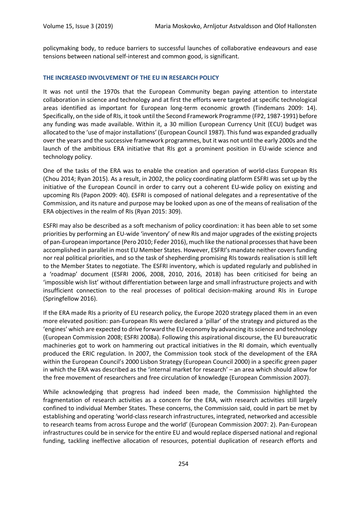policymaking body, to reduce barriers to successful launches of collaborative endeavours and ease tensions between national self-interest and common good, is significant.

#### **THE INCREASED INVOLVEMENT OF THE EU IN RESEARCH POLICY**

It was not until the 1970s that the European Community began paying attention to interstate collaboration in science and technology and at first the efforts were targeted at specific technological areas identified as important for European long-term economic growth (Tindemans 2009: 14). Specifically, on the side of RIs, it took until the Second Framework Programme (FP2, 1987-1991) before any funding was made available. Within it, a 30 million European Currency Unit (ECU) budget was allocated to the 'use of major installations' (European Council 1987). This fund was expanded gradually over the years and the successive framework programmes, but it was not until the early 2000s and the launch of the ambitious ERA initiative that RIs got a prominent position in EU-wide science and technology policy.

One of the tasks of the ERA was to enable the creation and operation of world-class European RIs (Chou 2014; Ryan 2015). As a result, in 2002, the policy coordinating platform ESFRI was set up by the initiative of the European Council in order to carry out a coherent EU-wide policy on existing and upcoming RIs (Papon 2009: 40). ESFRI is composed of national delegates and a representative of the Commission, and its nature and purpose may be looked upon as one of the means of realisation of the ERA objectives in the realm of RIs (Ryan 2015: 309).

ESFRI may also be described as a soft mechanism of policy coordination: it has been able to set some priorities by performing an EU-wide 'inventory' of new RIs and major upgrades of the existing projects of pan-European importance (Pero 2010; Feder 2016), much like the national processes that have been accomplished in parallel in most EU Member States. However, ESFRI's mandate neither covers funding nor real political priorities, and so the task of shepherding promising RIs towards realisation is still left to the Member States to negotiate. The ESFRI inventory, which is updated regularly and published in a 'roadmap' document (ESFRI 2006, 2008, 2010, 2016, 2018) has been criticised for being an 'impossible wish list' without differentiation between large and small infrastructure projects and with insufficient connection to the real processes of political decision-making around RIs in Europe (Springfellow 2016).

If the ERA made RIs a priority of EU research policy, the Europe 2020 strategy placed them in an even more elevated position: pan-European RIs were declared a 'pillar' of the strategy and pictured as the 'engines' which are expected to drive forward the EU economy by advancing its science and technology (European Commission 2008; ESFRI 2008a). Following this aspirational discourse, the EU bureaucratic machineries got to work on hammering out practical initiatives in the RI domain, which eventually produced the ERIC regulation. In 2007, the Commission took stock of the development of the ERA within the European Council's 2000 Lisbon Strategy (European Council 2000) in a specific green paper in which the ERA was described as the 'internal market for research' – an area which should allow for the free movement of researchers and free circulation of knowledge (European Commission 2007).

While acknowledging that progress had indeed been made, the Commission highlighted the fragmentation of research activities as a concern for the ERA, with research activities still largely confined to individual Member States. These concerns, the Commission said, could in part be met by establishing and operating 'world-class research infrastructures, integrated, networked and accessible to research teams from across Europe and the world' (European Commission 2007: 2). Pan-European infrastructures could be in service for the entire EU and would replace dispersed national and regional funding, tackling ineffective allocation of resources, potential duplication of research efforts and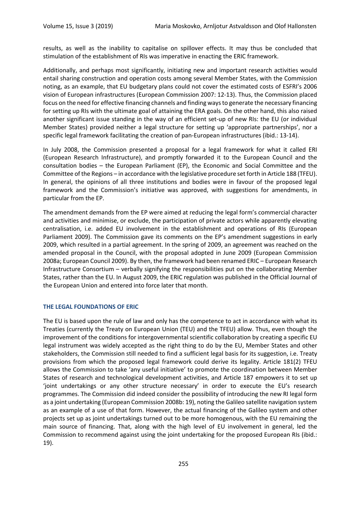results, as well as the inability to capitalise on spillover effects. It may thus be concluded that stimulation of the establishment of RIs was imperative in enacting the ERIC framework.

Additionally, and perhaps most significantly, initiating new and important research activities would entail sharing construction and operation costs among several Member States, with the Commission noting, as an example, that EU budgetary plans could not cover the estimated costs of ESFRI's 2006 vision of European infrastructures (European Commission 2007: 12-13). Thus, the Commission placed focus on the need for effective financing channels and finding ways to generate the necessary financing for setting up RIs with the ultimate goal of attaining the ERA goals. On the other hand, this also raised another significant issue standing in the way of an efficient set-up of new RIs: the EU (or individual Member States) provided neither a legal structure for setting up 'appropriate partnerships', nor a specific legal framework facilitating the creation of pan-European infrastructures (ibid.: 13-14).

In July 2008, the Commission presented a proposal for a legal framework for what it called ERI (European Research Infrastructure), and promptly forwarded it to the European Council and the consultation bodies – the European Parliament (EP), the Economic and Social Committee and the Committee of the Regions – in accordance with the legislative procedure set forth in Article 188 (TFEU). In general, the opinions of all three institutions and bodies were in favour of the proposed legal framework and the Commission's initiative was approved, with suggestions for amendments, in particular from the EP.

The amendment demands from the EP were aimed at reducing the legal form's commercial character and activities and minimise, or exclude, the participation of private actors while apparently elevating centralisation, i.e. added EU involvement in the establishment and operations of RIs (European Parliament 2009). The Commission gave its comments on the EP's amendment suggestions in early 2009, which resulted in a partial agreement. In the spring of 2009, an agreement was reached on the amended proposal in the Council, with the proposal adopted in June 2009 (European Commission 2008a; European Council 2009). By then, the framework had been renamed ERIC – European Research Infrastructure Consortium – verbally signifying the responsibilities put on the collaborating Member States, rather than the EU. In August 2009, the ERIC regulation was published in the Official Journal of the European Union and entered into force later that month.

#### **THE LEGAL FOUNDATIONS OF ERIC**

The EU is based upon the rule of law and only has the competence to act in accordance with what its Treaties (currently the Treaty on European Union (TEU) and the TFEU) allow. Thus, even though the improvement of the conditions for intergovernmental scientific collaboration by creating a specific EU legal instrument was widely accepted as the right thing to do by the EU, Member States and other stakeholders, the Commission still needed to find a sufficient legal basis for its suggestion, i.e. Treaty provisions from which the proposed legal framework could derive its legality. Article 181(2) TFEU allows the Commission to take 'any useful initiative' to promote the coordination between Member States of research and technological development activities, and Article 187 empowers it to set up 'joint undertakings or any other structure necessary' in order to execute the EU's research programmes. The Commission did indeed consider the possibility of introducing the new RI legal form as a joint undertaking (European Commission 2008b: 19), noting the Galileo satellite navigation system as an example of a use of that form. However, the actual financing of the Galileo system and other projects set up as joint undertakings turned out to be more homogenous, with the EU remaining the main source of financing. That, along with the high level of EU involvement in general, led the Commission to recommend against using the joint undertaking for the proposed European RIs (ibid.: 19).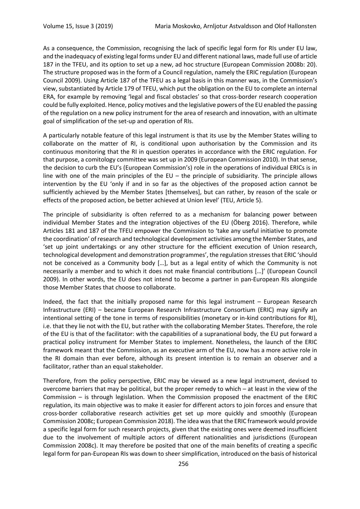As a consequence, the Commission, recognising the lack of specific legal form for RIs under EU law, and the inadequacy of existing legal forms under EU and different national laws, made full use of article 187 in the TFEU, and its option to set up a new, ad hoc structure (European Commission 2008b: 20). The structure proposed was in the form of a Council regulation, namely the ERIC regulation (European Council 2009). Using Article 187 of the TFEU as a legal basis in this manner was, in the Commission's view, substantiated by Article 179 of TFEU, which put the obligation on the EU to complete an internal ERA, for example by removing 'legal and fiscal obstacles' so that cross-border research cooperation could be fully exploited. Hence, policy motives and the legislative powers of the EU enabled the passing of the regulation on a new policy instrument for the area of research and innovation, with an ultimate goal of simplification of the set-up and operation of RIs.

A particularly notable feature of this legal instrument is that its use by the Member States willing to collaborate on the matter of RI, is conditional upon authorisation by the Commission and its continuous monitoring that the RI in question operates in accordance with the ERIC regulation. For that purpose, a comitology committee was set up in 2009 (European Commission 2010). In that sense, the decision to curb the EU's (European Commission's) role in the operations of individual ERICs is in line with one of the main principles of the  $EU$  – the principle of subsidiarity. The principle allows intervention by the EU 'only if and in so far as the objectives of the proposed action cannot be sufficiently achieved by the Member States [themselves], but can rather, by reason of the scale or effects of the proposed action, be better achieved at Union level' (TEU, Article 5).

The principle of subsidiarity is often referred to as a mechanism for balancing power between individual Member States and the integration objectives of the EU (Öberg 2016). Therefore, while Articles 181 and 187 of the TFEU empower the Commission to 'take any useful initiative to promote the coordination' of research and technological development activities among the Member States, and 'set up joint undertakings or any other structure for the efficient execution of Union research, technological development and demonstration programmes', the regulation stresses that ERIC 'should not be conceived as a Community body […], but as a legal entity of which the Community is not necessarily a member and to which it does not make financial contributions […]' (European Council 2009). In other words, the EU does not intend to become a partner in pan-European RIs alongside those Member States that choose to collaborate.

Indeed, the fact that the initially proposed name for this legal instrument – European Research Infrastructure (ERI) – became European Research Infrastructure Consortium (ERIC) may signify an intentional setting of the tone in terms of responsibilities (monetary or in-kind contributions for RI), i.e. that they lie not with the EU, but rather with the collaborating Member States. Therefore, the role of the EU is that of the facilitator: with the capabilities of a supranational body, the EU put forward a practical policy instrument for Member States to implement. Nonetheless, the launch of the ERIC framework meant that the Commission, as an executive arm of the EU, now has a more active role in the RI domain than ever before, although its present intention is to remain an observer and a facilitator, rather than an equal stakeholder.

Therefore, from the policy perspective, ERIC may be viewed as a new legal instrument, devised to overcome barriers that may be political, but the proper remedy to which – at least in the view of the Commission – is through legislation. When the Commission proposed the enactment of the ERIC regulation, its main objective was to make it easier for different actors to join forces and ensure that cross-border collaborative research activities get set up more quickly and smoothly (European Commission 2008c; European Commission 2018). The idea was that the ERIC framework would provide a specific legal form for such research projects, given that the existing ones were deemed insufficient due to the involvement of multiple actors of different nationalities and jurisdictions (European Commission 2008c). It may therefore be posited that one of the main benefits of creating a specific legal form for pan-European RIs was down to sheer simplification, introduced on the basis of historical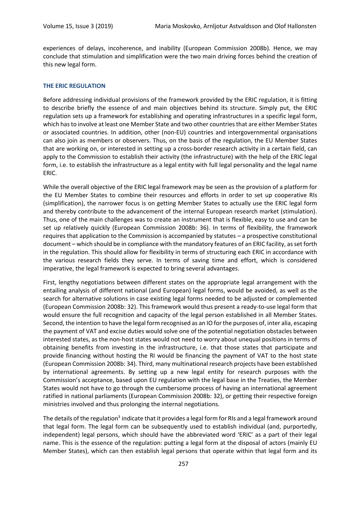experiences of delays, incoherence, and inability (European Commission 2008b). Hence, we may conclude that stimulation and simplification were the two main driving forces behind the creation of this new legal form.

#### **THE ERIC REGULATION**

Before addressing individual provisions of the framework provided by the ERIC regulation, it is fitting to describe briefly the essence of and main objectives behind its structure. Simply put, the ERIC regulation sets up a framework for establishing and operating infrastructures in a specific legal form, which has to involve at least one Member State and two other countries that are either Member States or associated countries. In addition, other (non-EU) countries and intergovernmental organisations can also join as members or observers. Thus, on the basis of the regulation, the EU Member States that are working on, or interested in setting up a cross-border research activity in a certain field, can apply to the Commission to establish their activity (the infrastructure) with the help of the ERIC legal form, i.e. to establish the infrastructure as a legal entity with full legal personality and the legal name ERIC.

While the overall objective of the ERIC legal framework may be seen as the provision of a platform for the EU Member States to combine their resources and efforts in order to set up cooperative RIs (simplification), the narrower focus is on getting Member States to actually use the ERIC legal form and thereby contribute to the advancement of the internal European research market (stimulation). Thus, one of the main challenges was to create an instrument that is flexible, easy to use and can be set up relatively quickly (European Commission 2008b: 36). In terms of flexibility, the framework requires that application to the Commission is accompanied by statutes – a prospective constitutional document – which should be in compliance with the mandatory features of an ERIC facility, as set forth in the regulation. This should allow for flexibility in terms of structuring each ERIC in accordance with the various research fields they serve. In terms of saving time and effort, which is considered imperative, the legal framework is expected to bring several advantages.

First, lengthy negotiations between different states on the appropriate legal arrangement with the entailing analysis of different national (and European) legal forms, would be avoided, as well as the search for alternative solutions in case existing legal forms needed to be adjusted or complemented (European Commission 2008b: 32). This framework would thus present a ready-to-use legal form that would ensure the full recognition and capacity of the legal person established in all Member States. Second, the intention to have the legal form recognised as an IO for the purposes of, inter alia, escaping the payment of VAT and excise duties would solve one of the potential negotiation obstacles between interested states, as the non-host states would not need to worry about unequal positions in terms of obtaining benefits from investing in the infrastructure, i.e. that those states that participate and provide financing without hosting the RI would be financing the payment of VAT to the host state (European Commission 2008b: 34). Third, many multinational research projects have been established by international agreements. By setting up a new legal entity for research purposes with the Commission's acceptance, based upon EU regulation with the legal base in the Treaties, the Member States would not have to go through the cumbersome process of having an international agreement ratified in national parliaments (European Commission 2008b: 32), or getting their respective foreign ministries involved and thus prolonging the internal negotiations.

The details of the regulation<sup>3</sup> indicate that it provides a legal form for RIs and a legal framework around that legal form. The legal form can be subsequently used to establish individual (and, purportedly, independent) legal persons, which should have the abbreviated word 'ERIC' as a part of their legal name. This is the essence of the regulation: putting a legal form at the disposal of actors (mainly EU Member States), which can then establish legal persons that operate within that legal form and its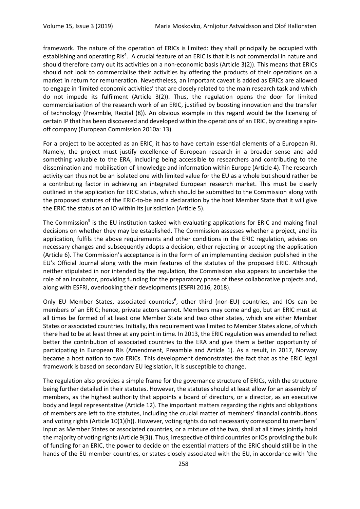framework. The nature of the operation of ERICs is limited: they shall principally be occupied with establishing and operating RIs<sup>4</sup>. A crucial feature of an ERIC is that it is not commercial in nature and should therefore carry out its activities on a non-economic basis (Article 3(2)). This means that ERICs should not look to commercialise their activities by offering the products of their operations on a market in return for remuneration. Nevertheless, an important caveat is added as ERICs are allowed to engage in 'limited economic activities' that are closely related to the main research task and which do not impede its fulfilment (Article 3(2)). Thus, the regulation opens the door for limited commercialisation of the research work of an ERIC, justified by boosting innovation and the transfer of technology (Preamble, Recital (8)). An obvious example in this regard would be the licensing of certain IP that has been discovered and developed within the operations of an ERIC, by creating a spinoff company (European Commission 2010a: 13).

For a project to be accepted as an ERIC, it has to have certain essential elements of a European RI. Namely, the project must justify excellence of European research in a broader sense and add something valuable to the ERA, including being accessible to researchers and contributing to the dissemination and mobilisation of knowledge and information within Europe (Article 4). The research activity can thus not be an isolated one with limited value for the EU as a whole but should rather be a contributing factor in achieving an integrated European research market. This must be clearly outlined in the application for ERIC status, which should be submitted to the Commission along with the proposed statutes of the ERIC-to-be and a declaration by the host Member State that it will give the ERIC the status of an IO within its jurisdiction (Article 5).

The Commission<sup>5</sup> is the EU institution tasked with evaluating applications for ERIC and making final decisions on whether they may be established. The Commission assesses whether a project, and its application, fulfils the above requirements and other conditions in the ERIC regulation, advises on necessary changes and subsequently adopts a decision, either rejecting or accepting the application (Article 6). The Commission's acceptance is in the form of an implementing decision published in the EU's Official Journal along with the main features of the statutes of the proposed ERIC. Although neither stipulated in nor intended by the regulation, the Commission also appears to undertake the role of an incubator, providing funding for the preparatory phase of these collaborative projects and, along with ESFRI, overlooking their developments (ESFRI 2016, 2018).

Only EU Member States, associated countries<sup>6</sup>, other third (non-EU) countries, and IOs can be members of an ERIC; hence, private actors cannot. Members may come and go, but an ERIC must at all times be formed of at least one Member State and two other states, which are either Member States or associated countries. Initially, this requirement was limited to Member States alone, of which there had to be at least three at any point in time. In 2013, the ERIC regulation was amended to reflect better the contribution of associated countries to the ERA and give them a better opportunity of participating in European RIs (Amendment, Preamble and Article 1). As a result, in 2017, Norway became a host nation to two ERICs. This development demonstrates the fact that as the ERIC legal framework is based on secondary EU legislation, it is susceptible to change.

The regulation also provides a simple frame for the governance structure of ERICs, with the structure being further detailed in their statutes. However, the statutes should at least allow for an assembly of members, as the highest authority that appoints a board of directors, or a director, as an executive body and legal representative (Article 12). The important matters regarding the rights and obligations of members are left to the statutes, including the crucial matter of members' financial contributions and voting rights (Article 10(1)(h)). However, voting rights do not necessarily correspond to members' input as Member States or associated countries, or a mixture of the two, shall at all times jointly hold the majority of voting rights (Article 9(3)). Thus, irrespective of third countries or IOs providing the bulk of funding for an ERIC, the power to decide on the essential matters of the ERIC should still be in the hands of the EU member countries, or states closely associated with the EU, in accordance with 'the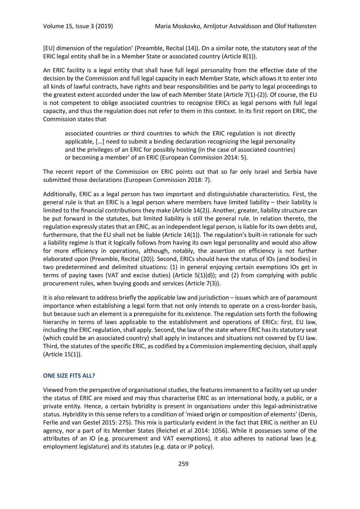[EU] dimension of the regulation' (Preamble, Recital (14)). On a similar note, the statutory seat of the ERIC legal entity shall be in a Member State or associated country (Article 8(1)).

An ERIC facility is a legal entity that shall have full legal personality from the effective date of the decision by the Commission and full legal capacity in each Member State, which allows it to enter into all kinds of lawful contracts, have rights and bear responsibilities and be party to legal proceedings to the greatest extent accorded under the law of each Member State (Article 7(1)-(2)). Of course, the EU is not competent to oblige associated countries to recognise ERICs as legal persons with full legal capacity, and thus the regulation does not refer to them in this context. In its first report on ERIC, the Commission states that

associated countries or third countries to which the ERIC regulation is not directly applicable, […] need to submit a binding declaration recognizing the legal personality and the privileges of an ERIC for possibly hosting (in the case of associated countries) or becoming a member' of an ERIC (European Commission 2014: 5).

The recent report of the Commission on ERIC points out that so far only Israel and Serbia have submitted those declarations (European Commission 2018: 7).

Additionally, ERIC as a legal person has two important and distinguishable characteristics. First, the general rule is that an ERIC is a legal person where members have limited liability – their liability is limited to the financial contributions they make (Article 14(2)). Another, greater, liability structure can be put forward in the statutes, but limited liability is still the general rule. In relation thereto, the regulation expressly states that an ERIC, as an independent legal person, is liable for its own debts and, furthermore, that the EU shall not be liable (Article 14(1)). The regulation's built-in rationale for such a liability regime is that it logically follows from having its own legal personality and would also allow for more efficiency in operations, although, notably, the assertion on efficiency is not further elaborated upon (Preamble, Recital (20)). Second, ERICs should have the status of IOs (and bodies) in two predetermined and delimited situations: (1) in general enjoying certain exemptions IOs get in terms of paying taxes (VAT and excise duties) (Article 5(1)(d)); and (2) from complying with public procurement rules, when buying goods and services (Article 7(3)).

It is also relevant to address briefly the applicable law and jurisdiction – issues which are of paramount importance when establishing a legal form that not only intends to operate on a cross-border basis, but because such an element is a prerequisite for its existence. The regulation sets forth the following hierarchy in terms of laws applicable to the establishment and operations of ERICs: first, EU law, including the ERIC regulation, shall apply. Second, the law of the state where ERIC has its statutory seat (which could be an associated country) shall apply in instances and situations not covered by EU law. Third, the statutes of the specific ERIC, as codified by a Commission implementing decision, shall apply (Article 15(1)).

#### **ONE SIZE FITS ALL?**

Viewed from the perspective of organisational studies, the features immanent to a facility set up under the status of ERIC are mixed and may thus characterise ERIC as an international body, a public, or a private entity. Hence, a certain hybridity is present in organisations under this legal-administrative status. Hybridity in this sense refers to a condition of 'mixed origin or composition of elements' (Denis, Ferlie and van Gestel 2015: 275). This mix is particularly evident in the fact that ERIC is neither an EU agency, nor a part of its Member States (Reichel et al 2014: 1056). While it possesses some of the attributes of an IO (e.g. procurement and VAT exemptions), it also adheres to national laws (e.g. employment legislature) and its statutes (e.g. data or IP policy).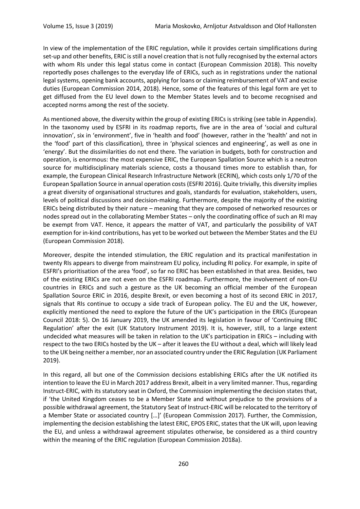In view of the implementation of the ERIC regulation, while it provides certain simplifications during set-up and other benefits, ERIC is still a novel creation that is not fully recognised by the external actors with whom RIs under this legal status come in contact (European Commission 2018). This novelty reportedly poses challenges to the everyday life of ERICs, such as in registrations under the national legal systems, opening bank accounts, applying for loans or claiming reimbursement of VAT and excise duties (European Commission 2014, 2018). Hence, some of the features of this legal form are yet to get diffused from the EU level down to the Member States levels and to become recognised and accepted norms among the rest of the society.

As mentioned above, the diversity within the group of existing ERICs is striking (see table in Appendix). In the taxonomy used by ESFRI in its roadmap reports, five are in the area of 'social and cultural innovation', six in 'environment', five in 'health and food' (however, rather in the 'health' and not in the 'food' part of this classification), three in 'physical sciences and engineering', as well as one in 'energy'. But the dissimilarities do not end there. The variation in budgets, both for construction and operation, is enormous: the most expensive ERIC, the European Spallation Source which is a neutron source for multidisciplinary materials science, costs a thousand times more to establish than, for example, the European Clinical Research Infrastructure Network (ECRIN), which costs only 1/70 of the European Spallation Source in annual operation costs (ESFRI 2016). Quite trivially, this diversity implies a great diversity of organisational structures and goals, standards for evaluation, stakeholders, users, levels of political discussions and decision-making. Furthermore, despite the majority of the existing ERICs being distributed by their nature – meaning that they are composed of networked resources or nodes spread out in the collaborating Member States – only the coordinating office of such an RI may be exempt from VAT. Hence, it appears the matter of VAT, and particularly the possibility of VAT exemption for in-kind contributions, has yet to be worked out between the Member States and the EU (European Commission 2018).

Moreover, despite the intended stimulation, the ERIC regulation and its practical manifestation in twenty RIs appears to diverge from mainstream EU policy, including RI policy. For example, in spite of ESFRI's prioritisation of the area 'food', so far no ERIC has been established in that area. Besides, two of the existing ERICs are not even on the ESFRI roadmap. Furthermore, the involvement of non-EU countries in ERICs and such a gesture as the UK becoming an official member of the European Spallation Source ERIC in 2016, despite Brexit, or even becoming a host of its second ERIC in 2017, signals that RIs continue to occupy a side track of European policy. The EU and the UK, however, explicitly mentioned the need to explore the future of the UK's participation in the ERICs (European Council 2018: 5). On 16 January 2019, the UK amended its legislation in favour of 'Continuing ERIC Regulation' after the exit (UK Statutory Instrument 2019). It is, however, still, to a large extent undecided what measures will be taken in relation to the UK's participation in ERICs – including with respect to the two ERICs hosted by the UK – after it leaves the EU without a deal, which will likely lead to the UK being neither a member, nor an associated country under the ERIC Regulation (UK Parliament 2019).

In this regard, all but one of the Commission decisions establishing ERICs after the UK notified its intention to leave the EU in March 2017 address Brexit, albeit in a very limited manner. Thus, regarding Instruct-ERIC, with its statutory seat in Oxford, the Commission implementing the decision states that, if 'the United Kingdom ceases to be a Member State and without prejudice to the provisions of a possible withdrawal agreement, the Statutory Seat of Instruct-ERIC will be relocated to the territory of a Member State or associated country […]' (European Commission 2017). Further, the Commission, implementing the decision establishing the latest ERIC, EPOS ERIC, states that the UK will, upon leaving the EU, and unless a withdrawal agreement stipulates otherwise, be considered as a third country within the meaning of the ERIC regulation (European Commission 2018a).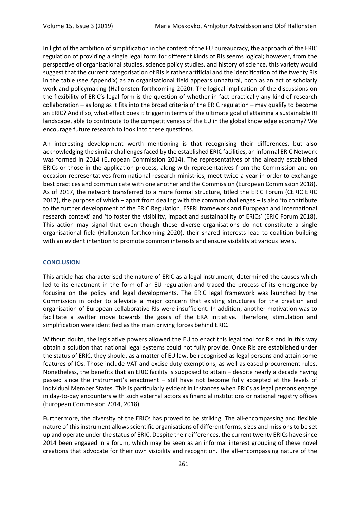In light of the ambition of simplification in the context of the EU bureaucracy, the approach of the ERIC regulation of providing a single legal form for different kinds of RIs seems logical; however, from the perspective of organisational studies, science policy studies, and history of science, this variety would suggest that the current categorisation of RIs is rather artificial and the identification of the twenty RIs in the table (see Appendix) as an organisational field appears unnatural, both as an act of scholarly work and policymaking (Hallonsten forthcoming 2020). The logical implication of the discussions on the flexibility of ERIC's legal form is the question of whether in fact practically any kind of research collaboration – as long as it fits into the broad criteria of the ERIC regulation – may qualify to become an ERIC? And if so, what effect does it trigger in terms of the ultimate goal of attaining a sustainable RI landscape, able to contribute to the competitiveness of the EU in the global knowledge economy? We encourage future research to look into these questions.

An interesting development worth mentioning is that recognising their differences, but also acknowledging the similar challenges faced by the established ERIC facilities, an informal ERIC Network was formed in 2014 (European Commission 2014). The representatives of the already established ERICs or those in the application process, along with representatives from the Commission and on occasion representatives from national research ministries, meet twice a year in order to exchange best practices and communicate with one another and the Commission (European Commission 2018). As of 2017, the network transferred to a more formal structure, titled the ERIC Forum (CERIC ERIC 2017), the purpose of which – apart from dealing with the common challenges – is also 'to contribute to the further development of the ERIC Regulation, ESFRI framework and European and international research context' and 'to foster the visibility, impact and sustainability of ERICs' (ERIC Forum 2018). This action may signal that even though these diverse organisations do not constitute a single organisational field (Hallonsten forthcoming 2020), their shared interests lead to coalition-building with an evident intention to promote common interests and ensure visibility at various levels.

#### **CONCLUSION**

This article has characterised the nature of ERIC as a legal instrument, determined the causes which led to its enactment in the form of an EU regulation and traced the process of its emergence by focusing on the policy and legal developments. The ERIC legal framework was launched by the Commission in order to alleviate a major concern that existing structures for the creation and organisation of European collaborative RIs were insufficient. In addition, another motivation was to facilitate a swifter move towards the goals of the ERA initiative. Therefore, stimulation and simplification were identified as the main driving forces behind ERIC.

Without doubt, the legislative powers allowed the EU to enact this legal tool for RIs and in this way obtain a solution that national legal systems could not fully provide. Once RIs are established under the status of ERIC, they should, as a matter of EU law, be recognised as legal persons and attain some features of IOs. Those include VAT and excise duty exemptions, as well as eased procurement rules. Nonetheless, the benefits that an ERIC facility is supposed to attain – despite nearly a decade having passed since the instrument's enactment – still have not become fully accepted at the levels of individual Member States. This is particularly evident in instances when ERICs as legal persons engage in day-to-day encounters with such external actors as financial institutions or national registry offices (European Commission 2014, 2018).

Furthermore, the diversity of the ERICs has proved to be striking. The all-encompassing and flexible nature of this instrument allows scientific organisations of different forms, sizes and missions to be set up and operate under the status of ERIC. Despite their differences, the current twenty ERICs have since 2014 been engaged in a forum, which may be seen as an informal interest grouping of these novel creations that advocate for their own visibility and recognition. The all-encompassing nature of the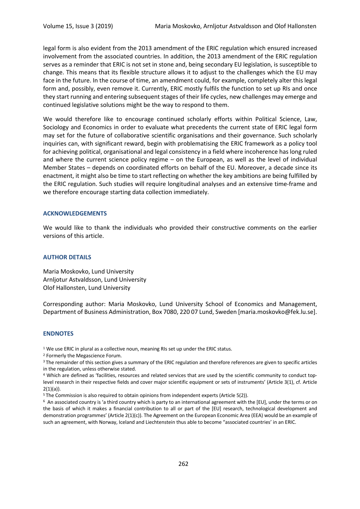legal form is also evident from the 2013 amendment of the ERIC regulation which ensured increased involvement from the associated countries. In addition, the 2013 amendment of the ERIC regulation serves as a reminder that ERIC is not set in stone and, being secondary EU legislation, is susceptible to change. This means that its flexible structure allows it to adjust to the challenges which the EU may face in the future. In the course of time, an amendment could, for example, completely alter this legal form and, possibly, even remove it. Currently, ERIC mostly fulfils the function to set up RIs and once they start running and entering subsequent stages of their life cycles, new challenges may emerge and continued legislative solutions might be the way to respond to them.

We would therefore like to encourage continued scholarly efforts within Political Science, Law, Sociology and Economics in order to evaluate what precedents the current state of ERIC legal form may set for the future of collaborative scientific organisations and their governance. Such scholarly inquiries can, with significant reward, begin with problematising the ERIC framework as a policy tool for achieving political, organisational and legal consistency in a field where incoherence has long ruled and where the current science policy regime – on the European, as well as the level of individual Member States – depends on coordinated efforts on behalf of the EU. Moreover, a decade since its enactment, it might also be time to start reflecting on whether the key ambitions are being fulfilled by the ERIC regulation. Such studies will require longitudinal analyses and an extensive time-frame and we therefore encourage starting data collection immediately.

#### **ACKNOWLEDGEMENTS**

We would like to thank the individuals who provided their constructive comments on the earlier versions of this article.

#### **AUTHOR DETAILS**

Maria Moskovko, Lund University Arnljotur Astvaldsson, Lund University Olof Hallonsten, Lund University

Corresponding author: Maria Moskovko, Lund University School of Economics and Management, Department of Business Administration, Box 7080, 220 07 Lund, Sweden [maria.moskovko@fek.lu.se].

#### **ENDNOTES**

<sup>1</sup> We use ERIC in plural as a collective noun, meaning RIs set up under the ERIC status.

<sup>2</sup> Formerly the Megascience Forum.

<sup>3</sup> The remainder of this section gives a summary of the ERIC regulation and therefore references are given to specific articles in the regulation, unless otherwise stated.

<sup>4</sup> Which are defined as 'facilities, resources and related services that are used by the scientific community to conduct toplevel research in their respective fields and cover major scientific equipment or sets of instruments' (Article 3(1), cf. Article 2(1)(a)).

<sup>5</sup> The Commission is also required to obtain opinions from independent experts (Article 5(2)).

<sup>6</sup> An associated country is 'a third country which is party to an international agreement with the [EU], under the terms or on the basis of which it makes a financial contribution to all or part of the [EU] research, technological development and demonstration programmes' (Article 2(1)(c)). The Agreement on the European Economic Area (EEA) would be an example of such an agreement, with Norway, Iceland and Liechtenstein thus able to become "associated countries' in an ERIC.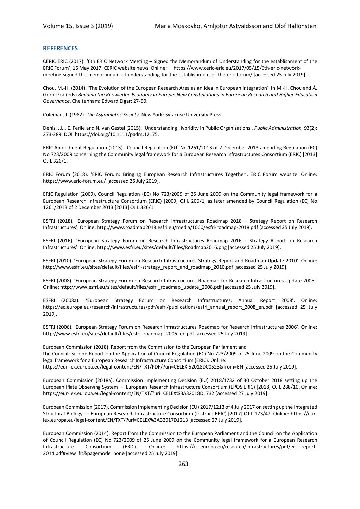#### **REFERENCES**

CERIC ERIC (2017). '6th ERIC Network Meeting – Signed the Memorandum of Understanding for the establishment of the ERIC Forum', 15 May 2017. CERIC website news. Online: https://www.ceric-eric.eu/2017/05/15/6th-eric-networkmeeting-signed-the-memorandum-of-understanding-for-the-establishment-of-the-eric-forum/ [accessed 25 July 2019].

Chou, M.-H. (2014). 'The Evolution of the European Research Area as an Idea in European Integration'. In M.-H. Chou and Å. Gornitzka (eds) *Building the Knowledge Economy in Europe: New Constellations in European Research and Higher Education Governance*. Cheltenham: Edward Elgar: 27-50.

Coleman, J. (1982). *The Asymmetric Society*. New York: Syracuse University Press.

Denis, J.L., E. Ferlie and N. van Gestel (2015). 'Understanding Hybridity in Public Organizations'. *Public Administration,* 93(2): 273-289. DOI: https://doi.org/10.1111/padm.12175.

ERIC Amendment Regulation (2013). Council Regulation (EU) No 1261/2013 of 2 December 2013 amending Regulation (EC) No 723/2009 concerning the Community legal framework for a European Research Infrastructures Consortium (ERIC) [2013] OJ L 326/1.

ERIC Forum (2018). 'ERIC Forum: Bringing European Research Infrastructures Together'. ERIC Forum website. Online: https://www.eric-forum.eu/ [accessed 25 July 2019].

ERIC Regulation (2009). Council Regulation (EC) No 723/2009 of 25 June 2009 on the Community legal framework for a European Research Infrastructure Consortium (ERIC) [2009] OJ L 206/1, as later amended by Council Regulation (EC) No 1261/2013 of 2 December 2013 [2013] OJ L 326/1

ESFRI (2018). 'European Strategy Forum on Research Infrastructures Roadmap 2018 – Strategy Report on Research Infrastructures'. Online: http://www.roadmap2018.esfri.eu/media/1060/esfri-roadmap-2018.pdf [accessed 25 July 2019].

ESFRI (2016). 'European Strategy Forum on Research Infrastructures Roadmap 2016 – Strategy Report on Research Infrastructures'. Online: http://www.esfri.eu/sites/default/files/Roadmap2016.png [accessed 25 July 2019].

ESFRI (2010). 'European Strategy Forum on Research Infrastructures Strategy Report and Roadmap Update 2010'. Online: http://www.esfri.eu/sites/default/files/esfri-strategy\_report\_and\_roadmap\_2010.pdf [accessed 25 July 2019].

ESFRI (2008). 'European Strategy Forum on Research Infrastructures Roadmap for Research Infrastructures Update 2008'. Online: http://www.esfri.eu/sites/default/files/esfri\_roadmap\_update\_2008.pdf [accessed 25 July 2019].

ESFRI (2008a). 'European Strategy Forum on Research Infrastructures: Annual Report 2008'. Online: https://ec.europa.eu/research/infrastructures/pdf/esfri/publications/esfri\_annual\_report\_2008\_en.pdf [accessed 25 July 2019].

ESFRI (2006). 'European Strategy Forum on Research Infrastructures Roadmap for Research Infrastructures 2006'. Online: http://www.esfri.eu/sites/default/files/esfri roadmap 2006 en.pdf [accessed 25 July 2019].

European Commission (2018). Report from the Commission to the European Parliament and the Council: Second Report on the Application of Council Regulation (EC) No 723/2009 of 25 June 2009 on the Community legal framework for a European Research Infrastructure Consortium (ERIC). Online: https://eur-lex.europa.eu/legal-content/EN/TXT/PDF/?uri=CELEX:52018DC0523&from=EN [accessed 25 July 2019].

European Commission (2018a). Commission Implementing Decision (EU) 2018/1732 of 30 October 2018 setting up the European Plate Observing System — European Research Infrastructure Consortium (EPOS ERIC) [2018] OJ L 288/10. Online: https://eur-lex.europa.eu/legal-content/EN/TXT/?uri=CELEX%3A32018D1732 [accessed 27 July 2019].

European Commission (2017). Commission Implementing Decision (EU) 2017/1213 of 4 July 2017 on setting up the Integrated Structural Biology — European Research Infrastructure Consortium (Instruct-ERIC) [2017] OJ L 173/47. Online: https://eurlex.europa.eu/legal-content/EN/TXT/?uri=CELEX%3A32017D1213 [accessed 27 July 2019].

European Commission (2014). Report from the Commission to the European Parliament and the Council on the Application of Council Regulation (EC) No 723/2009 of 25 June 2009 on the Community legal framework for a European Research Infrastructure Consortium (ERIC). Online: https://ec.europa.eu/research/infrastructures/pdf/eric\_report-2014.pdf#view=fit&pagemode=none [accessed 25 July 2019].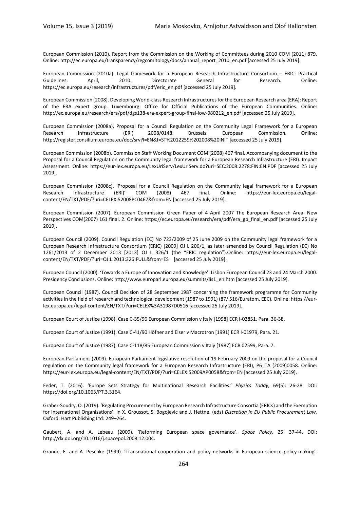European Commission (2010). Report from the Commission on the Working of Committees during 2010 COM (2011) 879. Online: http://ec.europa.eu/transparency/regcomitology/docs/annual\_report\_2010\_en.pdf [accessed 25 July 2019].

European Commission (2010a). Legal framework for a European Research Infrastructure Consortium – ERIC: Practical Guidelines. April, 2010. Directorate General for Research. Online: https://ec.europa.eu/research/infrastructures/pdf/eric\_en.pdf [accessed 25 July 2019].

European Commission (2008). Developing World-class Research Infrastructures for the European Research area (ERA): Report of the ERA expert group. Luxembourg: Office for Official Publications of the European Communities. Online: http://ec.europa.eu/research/era/pdf/dgs138-era-expert-group-final-low-080212\_en.pdf [accessed 25 July 2019].

European Commission (2008a). Proposal for a Council Regulation on the Community Legal Framework for a European Research Infrastructure (ERI) 2008/0148. Brussels: European Commission. Online: http://register.consilium.europa.eu/doc/srv?l=EN&f=ST%2012259%202008%20INIT [accessed 25 July 2019].

European Commission (2008b). Commission Staff Working Document COM (2008) 467 final. Accompanying document to the Proposal for a Council Regulation on the Community legal framework for a European Research Infrastructure (ERI). Impact Assessment. Online: https://eur-lex.europa.eu/LexUriServ/LexUriServ.do?uri=SEC:2008:2278:FIN:EN:PDF [accessed 25 July 2019].

European Commission (2008c). 'Proposal for a Council Regulation on the Community legal framework for a European Research Infrastructure (ERI)' COM (2008) 467 final. Online: https://eur-lex.europa.eu/legalcontent/EN/TXT/PDF/?uri=CELEX:52008PC0467&from=EN [accessed 25 July 2019].

European Commission (2007). European Commission Green Paper of 4 April 2007 The European Research Area: New Perspectives COM(2007) 161 final, 2. Online: https://ec.europa.eu/research/era/pdf/era\_gp\_final\_en.pdf [accessed 25 July 2019].

European Council (2009). Council Regulation (EC) No 723/2009 of 25 June 2009 on the Community legal framework for a European Research Infrastructure Consortium (ERIC) [2009] OJ L 206/1, as later amended by Council Regulation (EC) No 1261/2013 of 2 December 2013 [2013] OJ L 326/1 (the "ERIC regulation").Online: https://eur-lex.europa.eu/legalcontent/EN/TXT/PDF/?uri=OJ:L:2013:326:FULL&from=ES [accessed 25 July 2019].

European Council (2000). 'Towards a Europe of Innovation and Knowledge'. Lisbon European Council 23 and 24 March 2000. Presidency Conclusions. Online: http://www.europarl.europa.eu/summits/lis1\_en.htm [accessed 25 July 2019].

European Council (1987). Council Decision of 28 September 1987 concerning the framework programme for Community activities in the field of research and technological development (1987 to 1991) (87/ 516/Euratom, EEC). Online: https://eurlex.europa.eu/legal-content/EN/TXT/?uri=CELEX%3A31987D0516 [accessed 25 July 2019].

European Court of Justice (1998). Case C-35/96 European Commission v Italy [1998] ECR I-03851, Para. 36-38.

European Court of Justice (1991). Case C-41/90 Höfner and Elser v Macrotron [1991] ECR I-01979, Para. 21.

European Court of Justice (1987). Case C-118/85 European Commission v Italy [1987] ECR 02599, Para. 7.

European Parliament (2009). European Parliament legislative resolution of 19 February 2009 on the proposal for a Council regulation on the Community legal framework for a European Research Infrastructure (ERI), P6\_TA (2009)0058. Online: https://eur-lex.europa.eu/legal-content/EN/TXT/PDF/?uri=CELEX:52009AP0058&from=EN [accessed 25 July 2019].

Feder, T. (2016). 'Europe Sets Strategy for Multinational Research Facilities.' *Physics Today,* 69(5): 26-28. DOI: https://doi.org/10.1063/PT.3.3164.

Graber-Soudry, O. (2019). 'Regulating Procurement by European Research Infrastructure Consortia (ERICs) and the Exemption for International Organisations'. In X. Groussot, S. Bogojevic and J. Hettne. (eds) *Discretion in EU Public Procurement Law.*  Oxford: Hart Publishing Ltd: 249–264.

Gaubert, A. and A. Lebeau (2009). 'Reforming European space governance'. *Space Policy,* 25: 37-44. DOI: http://dx.doi.org/10.1016/j.spacepol.2008.12.004.

Grande, E. and A. Peschke (1999). 'Transnational cooperation and policy networks in European science policy-making'.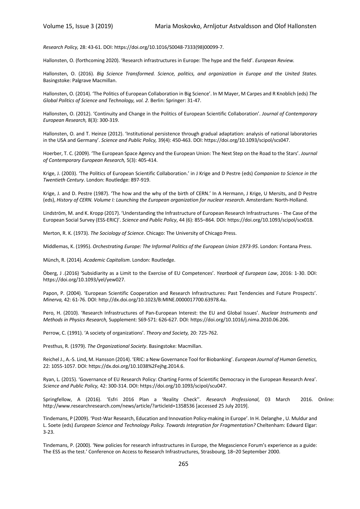*Research Policy,* 28: 43-61. DOI: https://doi.org/10.1016/S0048-7333(98)00099-7.

Hallonsten, O. (forthcoming 2020). 'Research infrastructures in Europe: The hype and the field'. *European Review.*

Hallonsten, O. (2016). *Big Science Transformed. Science, politics, and organization in Europe and the United States*. Basingstoke: Palgrave Macmillan.

Hallonsten, O. (2014). 'The Politics of European Collaboration in Big Science'. In M Mayer, M Carpes and R Knoblich (eds) *The Global Politics of Science and Technology, vol. 2*. Berlin: Springer: 31-47.

Hallonsten, O. (2012). 'Continuity and Change in the Politics of European Scientific Collaboration'. *Journal of Contemporary European Research,* 8(3): 300-319.

Hallonsten, O. and T. Heinze (2012). 'Institutional persistence through gradual adaptation: analysis of national laboratories in the USA and Germany'. *Science and Public Policy,* 39(4): 450-463. DOI: https://doi.org/10.1093/scipol/scs047.

Hoerber, T. C. (2009). 'The European Space Agency and the European Union: The Next Step on the Road to the Stars'. *Journal of Contemporary European Research,* 5(3): 405-414.

Krige, J. (2003). 'The Politics of European Scientific Collaboration.' in J Krige and D Pestre (eds) *Companion to Science in the Twentieth Century*. London: Routledge: 897-919.

Krige, J. and D. Pestre (1987). 'The how and the why of the birth of CERN.' In A Hermann, J Krige, U Mersits, and D Pestre (eds), *History of CERN. Volume I: Launching the European organization for nuclear research*. Amsterdam: North-Holland.

Lindström, M. and K. Kropp (2017). 'Understanding the Infrastructure of European Research Infrastructures - The Case of the European Social Survey (ESS-ERIC)'. *Science and Public Policy*, 44 (6): 855–864. DOI: https://doi.org/10.1093/scipol/scx018.

Merton, R. K. (1973). *The Sociology of Science*. Chicago: The University of Chicago Press.

Middlemas, K. (1995). *Orchestrating Europe: The Informal Politics of the European Union 1973-95*. London: Fontana Press.

Münch, R. (2014). *Academic Capitalism*. London: Routledge.

Öberg, J .(2016) 'Subsidiarity as a Limit to the Exercise of EU Competences'. *Yearbook of European Law*, 2016: 1-30. DOI: https://doi.org/10.1093/yel/yew027.

Papon, P. (2004). 'European Scientific Cooperation and Research Infrastructures: Past Tendencies and Future Prospects'. *Minerva,* 42: 61-76. DOI: http://dx.doi.org/10.1023/B:MINE.0000017700.63978.4a.

Pero, H. (2010). 'Research Infrastructures of Pan-European Interest: the EU and Global Issues'. *Nuclear Instruments and Methods in Physics Research,* Supplement: S69-S71: 626-627. DOI: https://doi.org/10.1016/j.nima.2010.06.206.

Perrow, C. (1991). 'A society of organizations'. *Theory and Society,* 20: 725-762.

Presthus, R. (1979). *The Organizational Society*. Basingstoke: Macmillan.

Reichel J., A.-S. Lind, M. Hansson (2014). 'ERIC: a New Governance Tool for Biobanking'. *European Journal of Human Genetics,* 22: 1055-1057. DOI: https://dx.doi.org/10.1038%2Fejhg.2014.6.

Ryan, L. (2015). 'Governance of EU Research Policy: Charting Forms of Scientific Democracy in the European Research Area'. *Science and Public Policy,* 42: 300-314. DOI: https://doi.org/10.1093/scipol/scu047.

Springfellow, A (2016). 'Esfri 2016 Plan a 'Reality Check''. *Research Professional*, 03 March 2016. Online: http://www.researchresearch.com/news/article/?articleId=1358536 [accessed 25 July 2019].

Tindemans, P (2009). 'Post-War Research, Education and Innovation Policy-making in Europe'. In H. Delanghe , U. Muldur and L. Soete (eds) *European Science and Technology Policy. Towards Integration for Fragmentation?* Cheltenham: Edward Elgar: 3-23.

Tindemans, P. (2000). 'New policies for research infrastructures in Europe, the Megascience Forum's experience as a guide: The ESS as the test.' Conference on Access to Research Infrastructures, Strasbourg, 18–20 September 2000.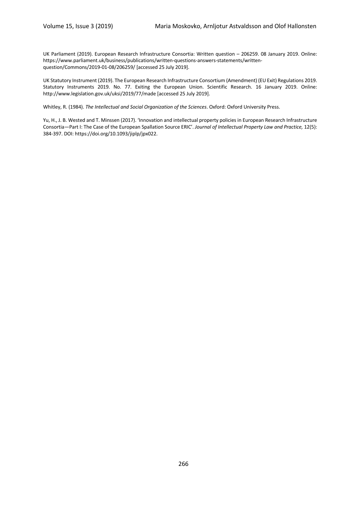UK Parliament (2019). European Research Infrastructure Consortia: Written question – 206259. 08 January 2019. Online: https://www.parliament.uk/business/publications/written-questions-answers-statements/writtenquestion/Commons/2019-01-08/206259/ [accessed 25 July 2019].

UK Statutory Instrument (2019). The European Research Infrastructure Consortium (Amendment) (EU Exit) Regulations 2019. Statutory Instruments 2019. No. 77. Exiting the European Union. Scientific Research. 16 January 2019. Online: http://www.legislation.gov.uk/uksi/2019/77/made [accessed 25 July 2019].

Whitley, R. (1984). *The Intellectual and Social Organization of the Sciences*. Oxford: Oxford University Press.

Yu, H., J. B. Wested and T. Minssen (2017). 'Innovation and intellectual property policies in European Research Infrastructure Consortia—Part I: The Case of the European Spallation Source ERIC'. *Journal of Intellectual Property Law and Practice,* 12(5): 384-397. DOI: https://doi.org/10.1093/jiplp/jpx022.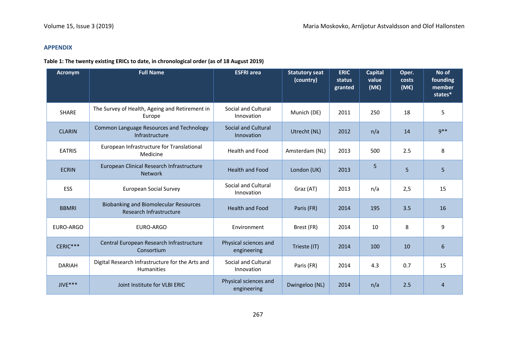#### **APPENDIX**

#### **Table 1: The twenty existing ERICs to date, in chronological order (as of 18 August 2019)**

| <b>Acronym</b> | <b>Full Name</b>                                                        | <b>ESFRI</b> area                    | <b>Statutory seat</b><br>(country) | <b>ERIC</b><br>status<br>granted | <b>Capital</b><br>value<br>(ME) | Oper.<br>costs<br>(ME) | No of<br>founding<br>member<br>states* |
|----------------|-------------------------------------------------------------------------|--------------------------------------|------------------------------------|----------------------------------|---------------------------------|------------------------|----------------------------------------|
| <b>SHARE</b>   | The Survey of Health, Ageing and Retirement in<br>Europe                | Social and Cultural<br>Innovation    | Munich (DE)                        | 2011                             | 250                             | 18                     | 5                                      |
| <b>CLARIN</b>  | Common Language Resources and Technology<br>Infrastructure              | Social and Cultural<br>Innovation    | Utrecht (NL)                       | 2012                             | n/a                             | 14                     | $9***$                                 |
| <b>EATRIS</b>  | European Infrastructure for Translational<br>Medicine                   | <b>Health and Food</b>               | Amsterdam (NL)                     | 2013                             | 500                             | 2.5                    | 8                                      |
| <b>ECRIN</b>   | European Clinical Research Infrastructure<br><b>Network</b>             | <b>Health and Food</b>               | London (UK)                        | 2013                             | 5                               | 5                      | 5                                      |
| <b>ESS</b>     | <b>European Social Survey</b>                                           | Social and Cultural<br>Innovation    | Graz (AT)                          | 2013                             | n/a                             | 2,5                    | 15                                     |
| <b>BBMRI</b>   | <b>Biobanking and Biomolecular Resources</b><br>Research Infrastructure | <b>Health and Food</b>               | Paris (FR)                         | 2014                             | 195                             | 3.5                    | 16                                     |
| EURO-ARGO      | EURO-ARGO                                                               | Environment                          | Brest (FR)                         | 2014                             | 10                              | 8                      | 9                                      |
| CERIC***       | Central European Research Infrastructure<br>Consortium                  | Physical sciences and<br>engineering | Trieste (IT)                       | 2014                             | 100                             | 10                     | $6\,$                                  |
| <b>DARIAH</b>  | Digital Research Infrastructure for the Arts and<br><b>Humanities</b>   | Social and Cultural<br>Innovation    | Paris (FR)                         | 2014                             | 4.3                             | 0.7                    | 15                                     |
| $JIVE***$      | Joint Institute for VLBI ERIC                                           | Physical sciences and<br>engineering | Dwingeloo (NL)                     | 2014                             | n/a                             | 2.5                    | $\overline{4}$                         |